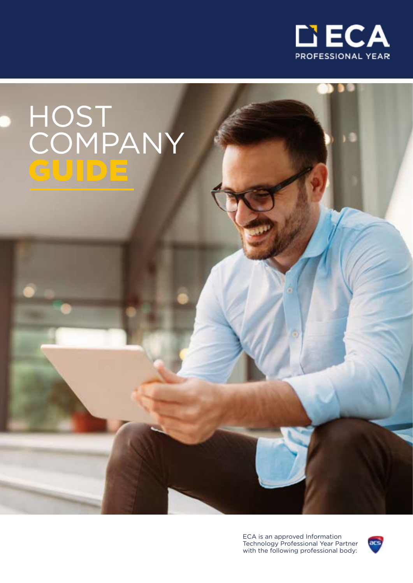

# HOST COMPANY GUIDE

ECA is an approved Information Technology Professional Year Partner with the following professional body:

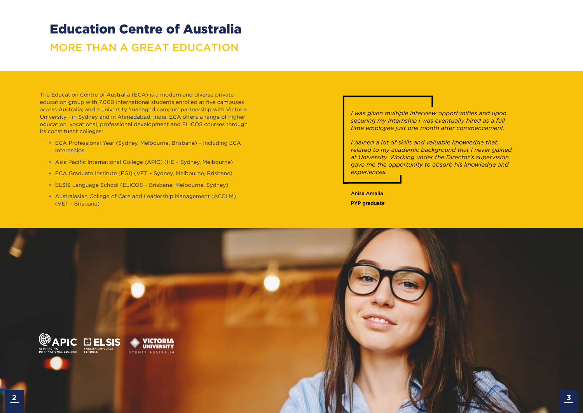### Education Centre of Australia

### MORE THAN A GREAT EDUCATION

The Education Centre of Australia (ECA) is a modern and diverse private education group with 7,000 international students enrolled at five campuses across Australia; and a university 'managed campus' partnership with Victoria University - in Sydney and in Ahmedabad, India. ECA offers a range of higher education, vocational, professional development and ELICOS courses through its constituent colleges:

- ECA Professional Year (Sydney, Melbourne, Brisbane) including ECA **Internships**
- Asia Pacific International College (APIC) (HE Sydney, Melbourne)
- ECA Graduate Institute (EGI) (VET Sydney, Melbourne, Brisbane)
- ELSIS Language School (ELICOS Brisbane, Melbourne, Sydney)
- Australasian College of Care and Leadership Management (ACCLM) (VET - Brisbane)

*I was given multiple interview opportunities and upon securing my Internship I was eventually hired as a full time employee just one month after commencement.*

*I gained a lot of skills and valuable knowledge that related to my academic background that I never gained at University. Working under the Director's supervision gave me the opportunity to absorb his knowledge and experiences.*

Anisa Amalia **PYP graduate**

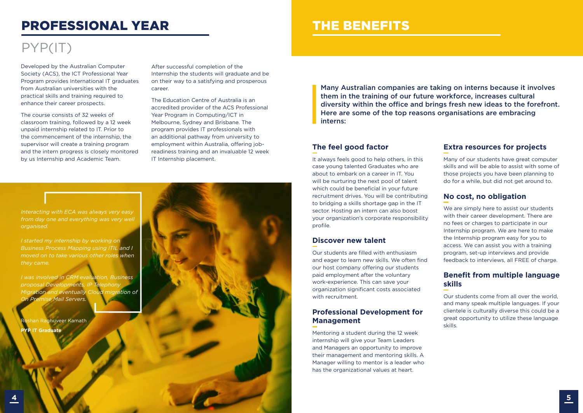Many Australian companies are taking on interns because it involves them in the training of our future workforce, increases cultural diversity within the office and brings fresh new ideas to the forefront. Here are some of the top reasons organisations are embracing interns:

Developed by the Australian Computer Society (ACS), the ICT Professional Year Program provides International IT graduates from Australian universities with the practical skills and training required to enhance their career prospects.

The course consists of 32 weeks of classroom training, followed by a 12 week unpaid internship related to IT. Prior to the commencement of the internship, the supervisor will create a training program and the intern progress is closely monitored by us Internship and Academic Team.

After successful completion of the Internship the students will graduate and be on their way to a satisfying and prosperous career.

The Education Centre of Australia is an accredited provider of the ACS Professional Year Program in Computing/ICT in Melbourne, Sydney and Brisbane. The program provides IT professionals with an additional pathway from university to employment within Australia, offering jobreadiness training and an invaluable 12 week IT Internship placement.

# PROFESSIONAL YEAR

# PYP(IT)

### *Interacting with ECA was always very easy from day one and everything was very well organised. I started my internship by working on*

*Business Process Mapping using ITIL and I moved on to take various other roles when they came.* 

*I was involved in CRM evaluation, Business proposal Developments, IP Telephony Migration and eventually Cloud migration of On Premise Mail Servers.*

Roshan Raghuveer Kamath **PYP IT Graduate** 



#### **The feel good factor**

It always feels good to help others, in this case young talented Graduates who are about to embark on a career in IT. You will be nurturing the next pool of talent which could be beneficial in your future recruitment drives. You will be contributing to bridging a skills shortage gap in the IT sector. Hosting an intern can also boost your organization's corporate responsibility profile.

#### **Discover new talent**

Our students are filled with enthusiasm and eager to learn new skills. We often find our host company offering our students paid employment after the voluntary work-experience. This can save your organization significant costs associated with recruitment.

#### **Professional Development for Management**

Mentoring a student during the 12 week internship will give your Team Leaders and Managers an opportunity to improve their management and mentoring skills. A Manager willing to mentor is a leader who has the organizational values at heart.

#### **Extra resources for projects**

Many of our students have great computer skills and will be able to assist with some of those projects you have been planning to do for a while, but did not get around to.

#### **No cost, no obligation**

We are simply here to assist our students with their career development. There are no fees or charges to participate in our Internship program. We are here to make the Internship program easy for you to access. We can assist you with a training program, set-up interviews and provide feedback to interviews, all FREE of charge.

#### **Benefit from multiple language skills**

Our students come from all over the world, and many speak multiple languages. If your clientele is culturally diverse this could be a great opportunity to utilize these language skills.

## THE BENEFITS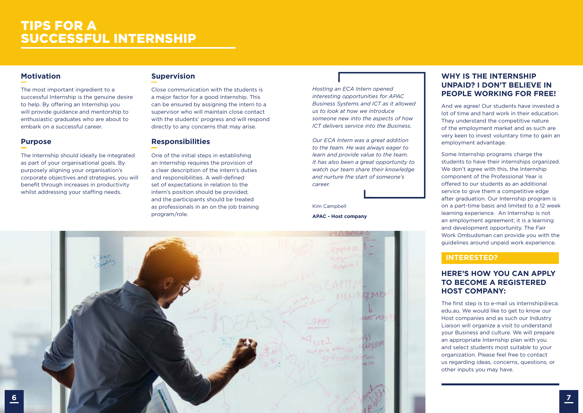#### **Motivation**

The most important ingredient to a successful Internship is the genuine desire to help. By offering an Internship you will provide guidance and mentorship to enthusiastic graduates who are about to embark on a successful career.

#### **Purpose**

The Internship should ideally be integrated as part of your organisational goals. By purposely aligning your organisation's corporate objectives and strategies, you will benefit through increases in productivity whilst addressing your staffing needs.

#### **Supervision**

Close communication with the students is a major factor for a good Internship. This can be ensured by assigning the intern to a supervisor who will maintain close contact with the students' progress and will respond directly to any concerns that may arise.

#### **Responsibilities**

One of the initial steps in establishing an Internship requires the provision of a clear description of the intern's duties and responsibilities. A well-defined set of expectations in relation to the intern's position should be provided; and the participants should be treated as professionals in an on the job training program/role.

### TIPS FOR A SUCCESSFUL INTERNSHIP

*Hosting an ECA Intern opened interesting opportunities for APAC Business Systems and ICT as it allowed us to look at how we introduce someone new into the aspects of how ICT delivers service into the Business.*

*Our ECA Intern was a great addition to the team. He was always eager to learn and provide value to the team. It has also been a great opportunity to watch our team share their knowledge and nurture the start of someone's career.*

> The first step is to e-mail us internship@eca. edu.au. We would like to get to know our Host companies and as such our Industry Liaison will organize a visit to understand your Business and culture. We will prepare an appropriate Internship plan with you and select students most suitable to your organization. Please feel free to contact us regarding ideas, concerns, questions, or other inputs you may have.

Kim Campbell

#### **APAC - Host company**



#### **WHY IS THE INTERNSHIP UNPAID? I DON'T BELIEVE IN PEOPLE WORKING FOR FREE!**

And we agree! Our students have invested a lot of time and hard work in their education. They understand the competitive nature of the employment market and as such are very keen to invest voluntary time to gain an employment advantage.

Some Internship programs charge the students to have their internships organized. We don't agree with this, the Internship component of the Professional Year is offered to our students as an additional service to give them a competitive edge after graduation. Our Internship program is on a part-time basis and limited to a 12 week learning experience. An Internship is not an employment agreement; it is a learning and development opportunity. The Fair Work Ombudsman can provide you with the guidelines around unpaid work experience.

#### **INTERESTED?**

#### **HERE'S HOW YOU CAN APPLY TO BECOME A REGISTERED HOST COMPANY:**